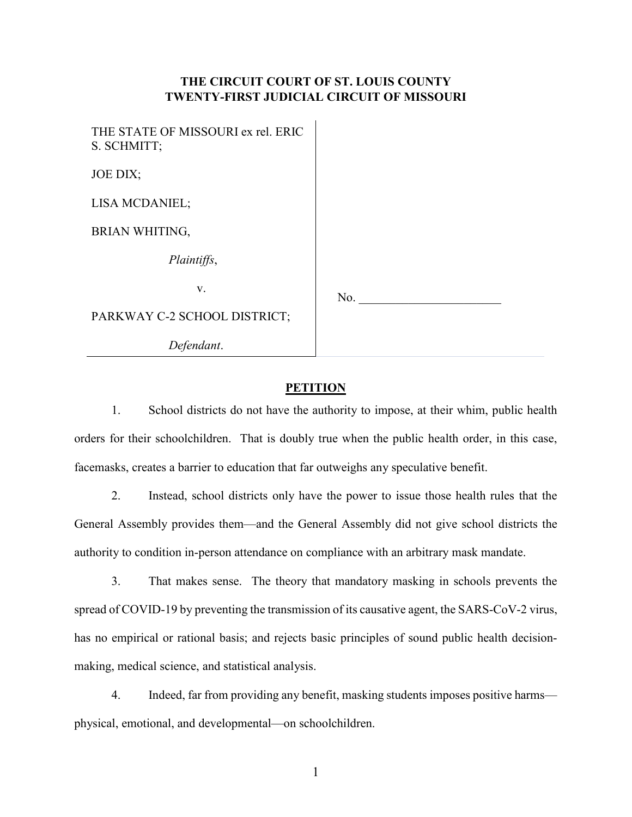# **THE CIRCUIT COURT OF ST. LOUIS COUNTY TWENTY-FIRST JUDICIAL CIRCUIT OF MISSOURI**

 $\mathbf{r}$ 

| THE STATE OF MISSOURI ex rel. ERIC<br>S. SCHMITT; |     |
|---------------------------------------------------|-----|
| JOE DIX;                                          |     |
| LISA MCDANIEL;                                    |     |
| <b>BRIAN WHITING,</b>                             |     |
| Plaintiffs,                                       |     |
| V.                                                | No. |
| PARKWAY C-2 SCHOOL DISTRICT;                      |     |
| Defendant.                                        |     |

# **PETITION**

1. School districts do not have the authority to impose, at their whim, public health orders for their schoolchildren. That is doubly true when the public health order, in this case, facemasks, creates a barrier to education that far outweighs any speculative benefit.

2. Instead, school districts only have the power to issue those health rules that the General Assembly provides them—and the General Assembly did not give school districts the authority to condition in-person attendance on compliance with an arbitrary mask mandate.

3. That makes sense. The theory that mandatory masking in schools prevents the spread of COVID-19 by preventing the transmission of its causative agent, the SARS-CoV-2 virus, has no empirical or rational basis; and rejects basic principles of sound public health decisionmaking, medical science, and statistical analysis.

4. Indeed, far from providing any benefit, masking students imposes positive harms physical, emotional, and developmental—on schoolchildren.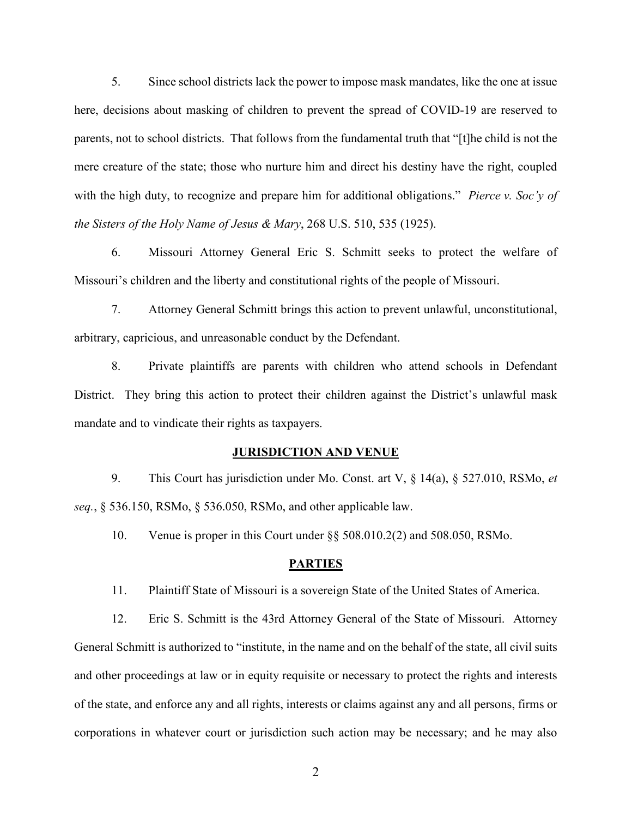5. Since school districts lack the power to impose mask mandates, like the one at issue here, decisions about masking of children to prevent the spread of COVID-19 are reserved to parents, not to school districts. That follows from the fundamental truth that "[t]he child is not the mere creature of the state; those who nurture him and direct his destiny have the right, coupled with the high duty, to recognize and prepare him for additional obligations." *Pierce v. Soc'y of the Sisters of the Holy Name of Jesus & Mary*, 268 U.S. 510, 535 (1925).

6. Missouri Attorney General Eric S. Schmitt seeks to protect the welfare of Missouri's children and the liberty and constitutional rights of the people of Missouri.

7. Attorney General Schmitt brings this action to prevent unlawful, unconstitutional, arbitrary, capricious, and unreasonable conduct by the Defendant.

8. Private plaintiffs are parents with children who attend schools in Defendant District. They bring this action to protect their children against the District's unlawful mask mandate and to vindicate their rights as taxpayers.

#### **JURISDICTION AND VENUE**

9. This Court has jurisdiction under Mo. Const. art V, § 14(a), § 527.010, RSMo, *et seq.*, § 536.150, RSMo, § 536.050, RSMo, and other applicable law.

10. Venue is proper in this Court under §§ 508.010.2(2) and 508.050, RSMo.

# **PARTIES**

11. Plaintiff State of Missouri is a sovereign State of the United States of America.

12. Eric S. Schmitt is the 43rd Attorney General of the State of Missouri. Attorney General Schmitt is authorized to "institute, in the name and on the behalf of the state, all civil suits and other proceedings at law or in equity requisite or necessary to protect the rights and interests of the state, and enforce any and all rights, interests or claims against any and all persons, firms or corporations in whatever court or jurisdiction such action may be necessary; and he may also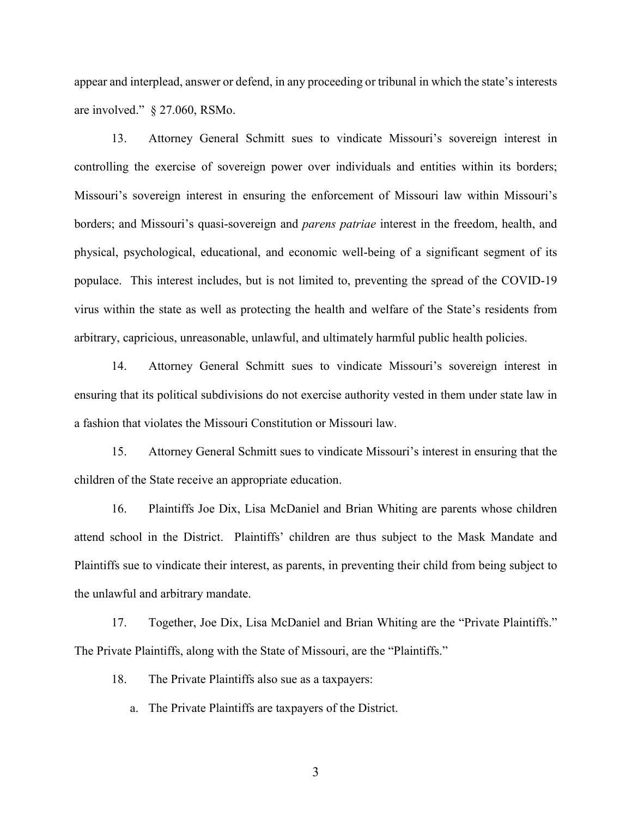appear and interplead, answer or defend, in any proceeding or tribunal in which the state's interests are involved." § 27.060, RSMo.

13. Attorney General Schmitt sues to vindicate Missouri's sovereign interest in controlling the exercise of sovereign power over individuals and entities within its borders; Missouri's sovereign interest in ensuring the enforcement of Missouri law within Missouri's borders; and Missouri's quasi-sovereign and *parens patriae* interest in the freedom, health, and physical, psychological, educational, and economic well-being of a significant segment of its populace. This interest includes, but is not limited to, preventing the spread of the COVID-19 virus within the state as well as protecting the health and welfare of the State's residents from arbitrary, capricious, unreasonable, unlawful, and ultimately harmful public health policies.

14. Attorney General Schmitt sues to vindicate Missouri's sovereign interest in ensuring that its political subdivisions do not exercise authority vested in them under state law in a fashion that violates the Missouri Constitution or Missouri law.

15. Attorney General Schmitt sues to vindicate Missouri's interest in ensuring that the children of the State receive an appropriate education.

16. Plaintiffs Joe Dix, Lisa McDaniel and Brian Whiting are parents whose children attend school in the District. Plaintiffs' children are thus subject to the Mask Mandate and Plaintiffs sue to vindicate their interest, as parents, in preventing their child from being subject to the unlawful and arbitrary mandate.

17. Together, Joe Dix, Lisa McDaniel and Brian Whiting are the "Private Plaintiffs." The Private Plaintiffs, along with the State of Missouri, are the "Plaintiffs."

18. The Private Plaintiffs also sue as a taxpayers:

a. The Private Plaintiffs are taxpayers of the District.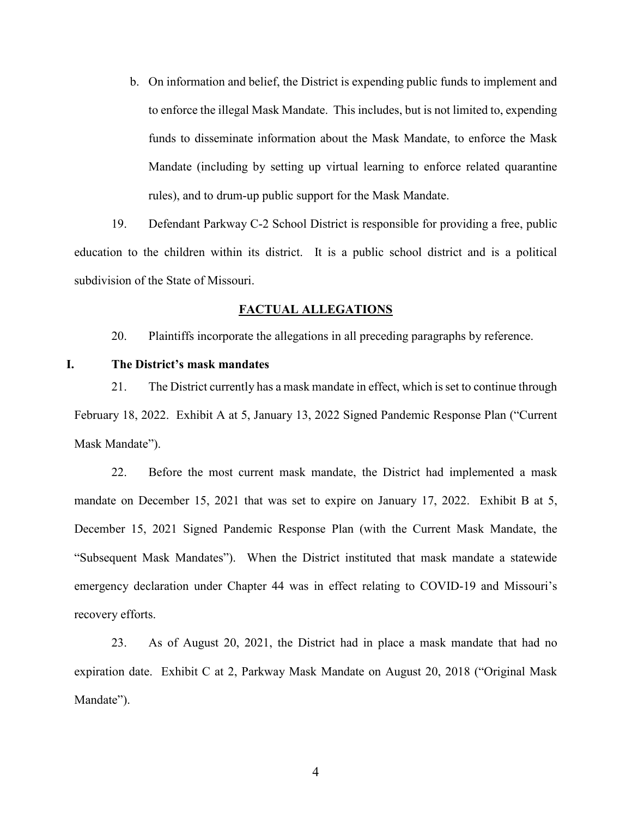b. On information and belief, the District is expending public funds to implement and to enforce the illegal Mask Mandate. This includes, but is not limited to, expending funds to disseminate information about the Mask Mandate, to enforce the Mask Mandate (including by setting up virtual learning to enforce related quarantine rules), and to drum-up public support for the Mask Mandate.

19. Defendant Parkway C-2 School District is responsible for providing a free, public education to the children within its district. It is a public school district and is a political subdivision of the State of Missouri.

### **FACTUAL ALLEGATIONS**

20. Plaintiffs incorporate the allegations in all preceding paragraphs by reference.

# **I. The District's mask mandates**

21. The District currently has a mask mandate in effect, which is set to continue through February 18, 2022. Exhibit A at 5, January 13, 2022 Signed Pandemic Response Plan ("Current Mask Mandate").

22. Before the most current mask mandate, the District had implemented a mask mandate on December 15, 2021 that was set to expire on January 17, 2022. Exhibit B at 5, December 15, 2021 Signed Pandemic Response Plan (with the Current Mask Mandate, the "Subsequent Mask Mandates"). When the District instituted that mask mandate a statewide emergency declaration under Chapter 44 was in effect relating to COVID-19 and Missouri's recovery efforts.

23. As of August 20, 2021, the District had in place a mask mandate that had no expiration date. Exhibit C at 2, Parkway Mask Mandate on August 20, 2018 ("Original Mask Mandate").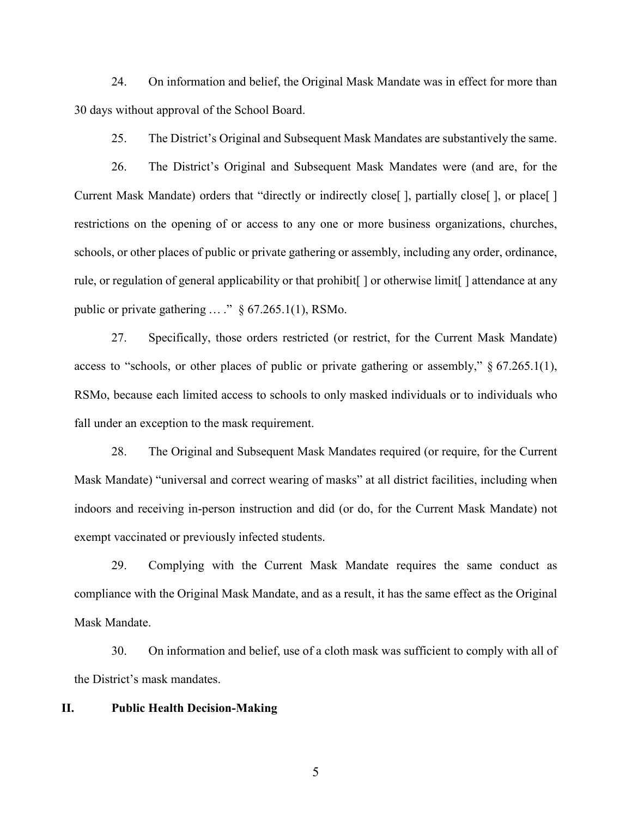24. On information and belief, the Original Mask Mandate was in effect for more than 30 days without approval of the School Board.

25. The District's Original and Subsequent Mask Mandates are substantively the same.

26. The District's Original and Subsequent Mask Mandates were (and are, for the Current Mask Mandate) orders that "directly or indirectly close [], partially close [], or place [] restrictions on the opening of or access to any one or more business organizations, churches, schools, or other places of public or private gathering or assembly, including any order, ordinance, rule, or regulation of general applicability or that prohibit [] or otherwise limit [] attendance at any public or private gathering  $\ldots$ ."  $\S$  67.265.1(1), RSMo.

27. Specifically, those orders restricted (or restrict, for the Current Mask Mandate) access to "schools, or other places of public or private gathering or assembly," § 67.265.1(1), RSMo, because each limited access to schools to only masked individuals or to individuals who fall under an exception to the mask requirement.

28. The Original and Subsequent Mask Mandates required (or require, for the Current Mask Mandate) "universal and correct wearing of masks" at all district facilities, including when indoors and receiving in-person instruction and did (or do, for the Current Mask Mandate) not exempt vaccinated or previously infected students.

29. Complying with the Current Mask Mandate requires the same conduct as compliance with the Original Mask Mandate, and as a result, it has the same effect as the Original Mask Mandate.

30. On information and belief, use of a cloth mask was sufficient to comply with all of the District's mask mandates.

## **II. Public Health Decision-Making**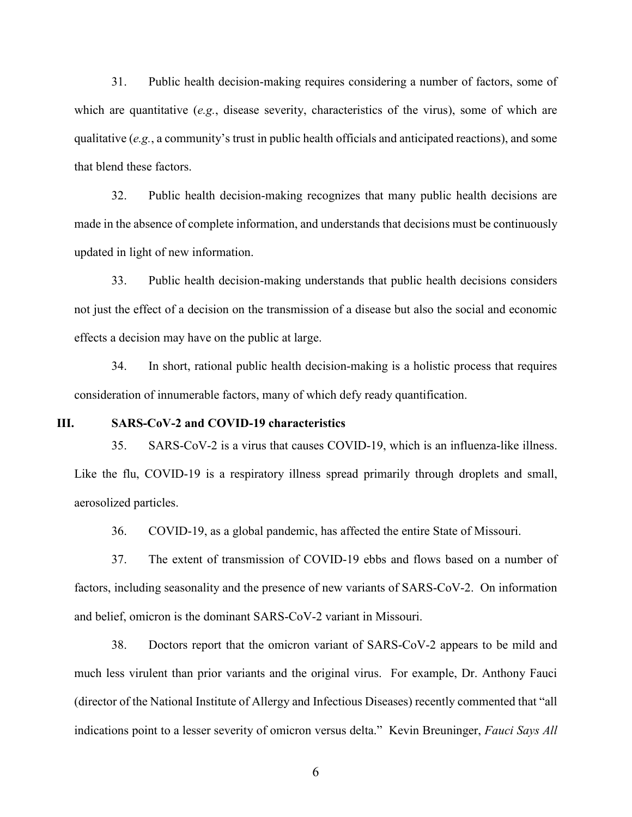31. Public health decision-making requires considering a number of factors, some of which are quantitative (*e.g.*, disease severity, characteristics of the virus), some of which are qualitative (*e.g.*, a community's trust in public health officials and anticipated reactions), and some that blend these factors.

32. Public health decision-making recognizes that many public health decisions are made in the absence of complete information, and understands that decisions must be continuously updated in light of new information.

33. Public health decision-making understands that public health decisions considers not just the effect of a decision on the transmission of a disease but also the social and economic effects a decision may have on the public at large.

34. In short, rational public health decision-making is a holistic process that requires consideration of innumerable factors, many of which defy ready quantification.

### **III. SARS-CoV-2 and COVID-19 characteristics**

35. SARS-CoV-2 is a virus that causes COVID-19, which is an influenza-like illness. Like the flu, COVID-19 is a respiratory illness spread primarily through droplets and small, aerosolized particles.

36. COVID-19, as a global pandemic, has affected the entire State of Missouri.

37. The extent of transmission of COVID-19 ebbs and flows based on a number of factors, including seasonality and the presence of new variants of SARS-CoV-2. On information and belief, omicron is the dominant SARS-CoV-2 variant in Missouri.

38. Doctors report that the omicron variant of SARS-CoV-2 appears to be mild and much less virulent than prior variants and the original virus. For example, Dr. Anthony Fauci (director of the National Institute of Allergy and Infectious Diseases) recently commented that "all indications point to a lesser severity of omicron versus delta." Kevin Breuninger, *Fauci Says All*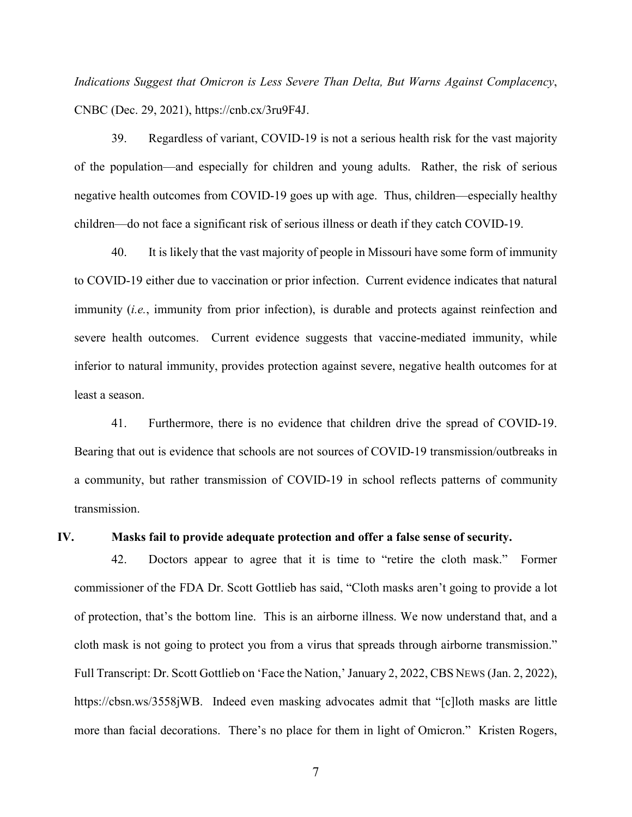*Indications Suggest that Omicron is Less Severe Than Delta, But Warns Against Complacency*, CNBC (Dec. 29, 2021), https://cnb.cx/3ru9F4J.

39. Regardless of variant, COVID-19 is not a serious health risk for the vast majority of the population—and especially for children and young adults. Rather, the risk of serious negative health outcomes from COVID-19 goes up with age. Thus, children—especially healthy children—do not face a significant risk of serious illness or death if they catch COVID-19.

40. It is likely that the vast majority of people in Missouri have some form of immunity to COVID-19 either due to vaccination or prior infection. Current evidence indicates that natural immunity (*i.e.*, immunity from prior infection), is durable and protects against reinfection and severe health outcomes. Current evidence suggests that vaccine-mediated immunity, while inferior to natural immunity, provides protection against severe, negative health outcomes for at least a season.

41. Furthermore, there is no evidence that children drive the spread of COVID-19. Bearing that out is evidence that schools are not sources of COVID-19 transmission/outbreaks in a community, but rather transmission of COVID-19 in school reflects patterns of community transmission.

#### **IV. Masks fail to provide adequate protection and offer a false sense of security.**

42. Doctors appear to agree that it is time to "retire the cloth mask." Former commissioner of the FDA Dr. Scott Gottlieb has said, "Cloth masks aren't going to provide a lot of protection, that's the bottom line. This is an airborne illness. We now understand that, and a cloth mask is not going to protect you from a virus that spreads through airborne transmission." Full Transcript: Dr. Scott Gottlieb on 'Face the Nation,' January 2, 2022, CBS NEWS (Jan. 2, 2022), https://cbsn.ws/3558jWB. Indeed even masking advocates admit that "[c]loth masks are little more than facial decorations. There's no place for them in light of Omicron." Kristen Rogers,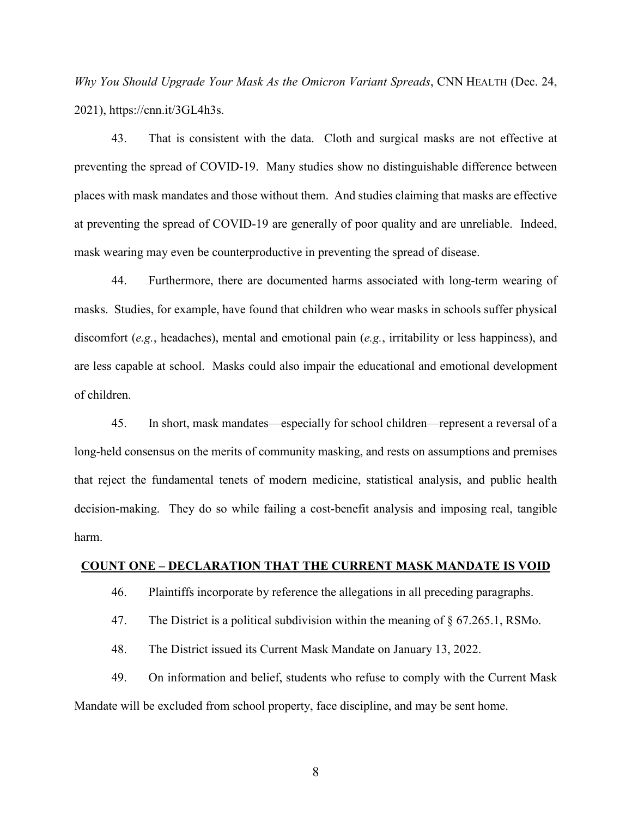*Why You Should Upgrade Your Mask As the Omicron Variant Spreads*, CNN HEALTH (Dec. 24, 2021), https://cnn.it/3GL4h3s.

43. That is consistent with the data. Cloth and surgical masks are not effective at preventing the spread of COVID-19. Many studies show no distinguishable difference between places with mask mandates and those without them. And studies claiming that masks are effective at preventing the spread of COVID-19 are generally of poor quality and are unreliable. Indeed, mask wearing may even be counterproductive in preventing the spread of disease.

44. Furthermore, there are documented harms associated with long-term wearing of masks. Studies, for example, have found that children who wear masks in schools suffer physical discomfort (*e.g.*, headaches), mental and emotional pain (*e.g.*, irritability or less happiness), and are less capable at school. Masks could also impair the educational and emotional development of children.

45. In short, mask mandates—especially for school children—represent a reversal of a long-held consensus on the merits of community masking, and rests on assumptions and premises that reject the fundamental tenets of modern medicine, statistical analysis, and public health decision-making. They do so while failing a cost-benefit analysis and imposing real, tangible harm.

## **COUNT ONE – DECLARATION THAT THE CURRENT MASK MANDATE IS VOID**

- 46. Plaintiffs incorporate by reference the allegations in all preceding paragraphs.
- 47. The District is a political subdivision within the meaning of § 67.265.1, RSMo.
- 48. The District issued its Current Mask Mandate on January 13, 2022.

49. On information and belief, students who refuse to comply with the Current Mask Mandate will be excluded from school property, face discipline, and may be sent home.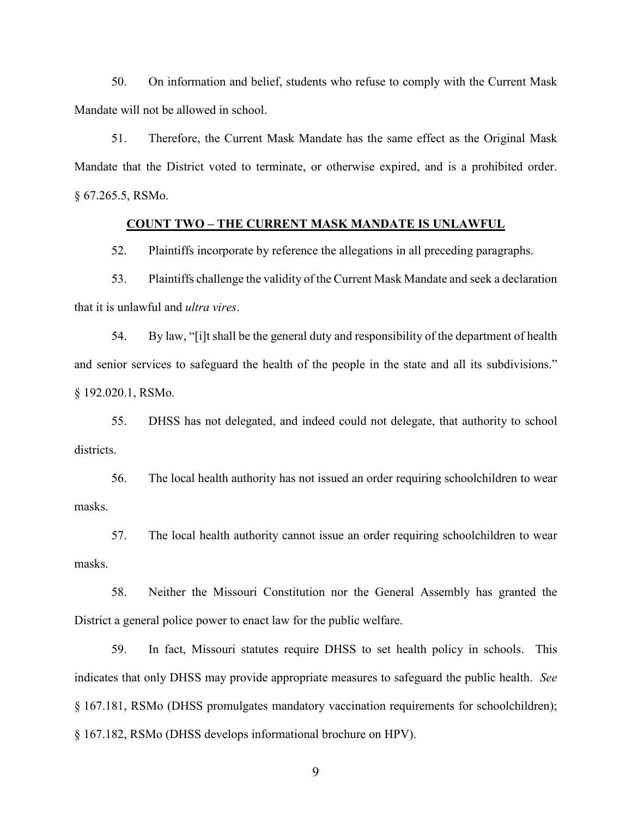50. On information and belief, students who refuse to comply with the Current Mask Mandate will not be allowed in school.

51. Therefore, the Current Mask Mandate has the same effect as the Original Mask Mandate that the District voted to terminate, or otherwise expired, and is a prohibited order. § 67.265.5, RSMo.

## **COUNT TWO – THE CURRENT MASK MANDATE IS UNLAWFUL**

52. Plaintiffs incorporate by reference the allegations in all preceding paragraphs.

53. Plaintiffs challenge the validity of the Current Mask Mandate and seek a declaration that it is unlawful and *ultra vires*.

54. By law, "[i]t shall be the general duty and responsibility of the department of health and senior services to safeguard the health of the people in the state and all its subdivisions." § 192.020.1, RSMo.

55. DHSS has not delegated, and indeed could not delegate, that authority to school districts.

56. The local health authority has not issued an order requiring schoolchildren to wear masks.

57. The local health authority cannot issue an order requiring schoolchildren to wear masks.

58. Neither the Missouri Constitution nor the General Assembly has granted the District a general police power to enact law for the public welfare.

59. In fact, Missouri statutes require DHSS to set health policy in schools. This indicates that only DHSS may provide appropriate measures to safeguard the public health. *See*  § 167.181, RSMo (DHSS promulgates mandatory vaccination requirements for schoolchildren); § 167.182, RSMo (DHSS develops informational brochure on HPV).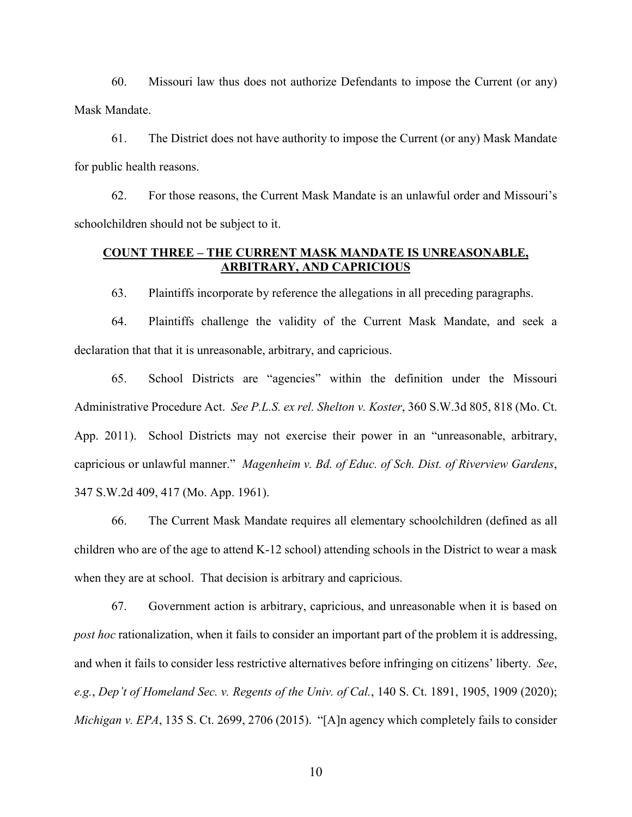60. Missouri law thus does not authorize Defendants to impose the Current (or any) Mask Mandate.

61. The District does not have authority to impose the Current (or any) Mask Mandate for public health reasons.

62. For those reasons, the Current Mask Mandate is an unlawful order and Missouri's schoolchildren should not be subject to it.

# **COUNT THREE – THE CURRENT MASK MANDATE IS UNREASONABLE, ARBITRARY, AND CAPRICIOUS**

63. Plaintiffs incorporate by reference the allegations in all preceding paragraphs.

64. Plaintiffs challenge the validity of the Current Mask Mandate, and seek a declaration that that it is unreasonable, arbitrary, and capricious.

65. School Districts are "agencies" within the definition under the Missouri Administrative Procedure Act. *See P.L.S. ex rel. Shelton v. Koster*, 360 S.W.3d 805, 818 (Mo. Ct. App. 2011). School Districts may not exercise their power in an "unreasonable, arbitrary, capricious or unlawful manner." *Magenheim v. Bd. of Educ. of Sch. Dist. of Riverview Gardens*, 347 S.W.2d 409, 417 (Mo. App. 1961).

66. The Current Mask Mandate requires all elementary schoolchildren (defined as all children who are of the age to attend K-12 school) attending schools in the District to wear a mask when they are at school. That decision is arbitrary and capricious.

67. Government action is arbitrary, capricious, and unreasonable when it is based on *post hoc* rationalization, when it fails to consider an important part of the problem it is addressing, and when it fails to consider less restrictive alternatives before infringing on citizens' liberty. *See*, *e.g.*, *Dep't of Homeland Sec. v. Regents of the Univ. of Cal.*, 140 S. Ct. 1891, 1905, 1909 (2020); *Michigan v. EPA*, 135 S. Ct. 2699, 2706 (2015). "[A]n agency which completely fails to consider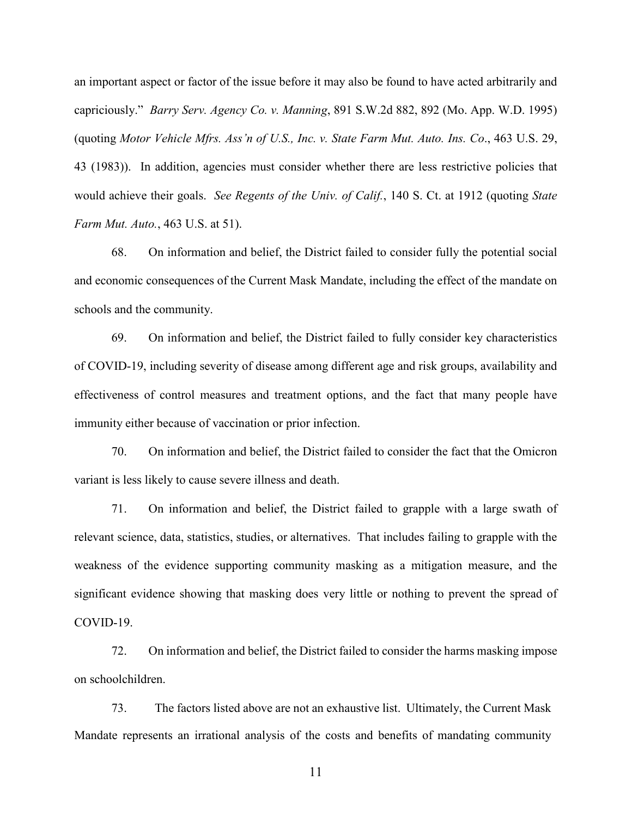an important aspect or factor of the issue before it may also be found to have acted arbitrarily and capriciously." *Barry Serv. Agency Co. v. Manning*, 891 S.W.2d 882, 892 (Mo. App. W.D. 1995) (quoting *Motor Vehicle Mfrs. Ass'n of U.S., Inc. v. State Farm Mut. Auto. Ins. Co*., 463 U.S. 29, 43 (1983)). In addition, agencies must consider whether there are less restrictive policies that would achieve their goals. *See Regents of the Univ. of Calif.*, 140 S. Ct. at 1912 (quoting *State Farm Mut. Auto.*, 463 U.S. at 51).

68. On information and belief, the District failed to consider fully the potential social and economic consequences of the Current Mask Mandate, including the effect of the mandate on schools and the community.

69. On information and belief, the District failed to fully consider key characteristics of COVID-19, including severity of disease among different age and risk groups, availability and effectiveness of control measures and treatment options, and the fact that many people have immunity either because of vaccination or prior infection.

70. On information and belief, the District failed to consider the fact that the Omicron variant is less likely to cause severe illness and death.

71. On information and belief, the District failed to grapple with a large swath of relevant science, data, statistics, studies, or alternatives. That includes failing to grapple with the weakness of the evidence supporting community masking as a mitigation measure, and the significant evidence showing that masking does very little or nothing to prevent the spread of COVID-19.

72. On information and belief, the District failed to consider the harms masking impose on schoolchildren.

73. The factors listed above are not an exhaustive list. Ultimately, the Current Mask Mandate represents an irrational analysis of the costs and benefits of mandating community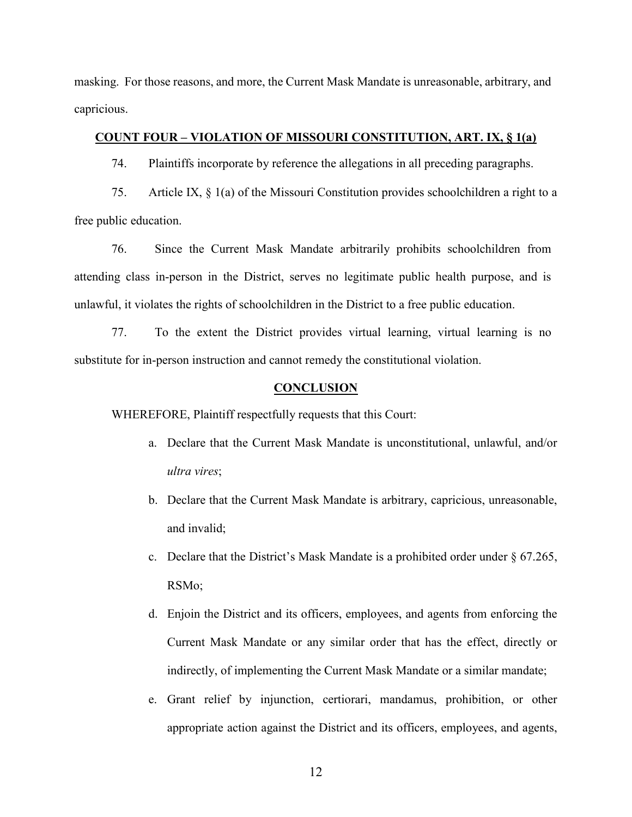masking. For those reasons, and more, the Current Mask Mandate is unreasonable, arbitrary, and capricious.

# **COUNT FOUR – VIOLATION OF MISSOURI CONSTITUTION, ART. IX, § 1(a)**

74. Plaintiffs incorporate by reference the allegations in all preceding paragraphs.

75. Article IX, § 1(a) of the Missouri Constitution provides schoolchildren a right to a free public education.

76. Since the Current Mask Mandate arbitrarily prohibits schoolchildren from attending class in-person in the District, serves no legitimate public health purpose, and is unlawful, it violates the rights of schoolchildren in the District to a free public education.

77. To the extent the District provides virtual learning, virtual learning is no substitute for in-person instruction and cannot remedy the constitutional violation.

#### **CONCLUSION**

WHEREFORE, Plaintiff respectfully requests that this Court:

- a. Declare that the Current Mask Mandate is unconstitutional, unlawful, and/or *ultra vires*;
- b. Declare that the Current Mask Mandate is arbitrary, capricious, unreasonable, and invalid;
- c. Declare that the District's Mask Mandate is a prohibited order under  $\S 67.265$ , RSMo;
- d. Enjoin the District and its officers, employees, and agents from enforcing the Current Mask Mandate or any similar order that has the effect, directly or indirectly, of implementing the Current Mask Mandate or a similar mandate;
- e. Grant relief by injunction, certiorari, mandamus, prohibition, or other appropriate action against the District and its officers, employees, and agents,